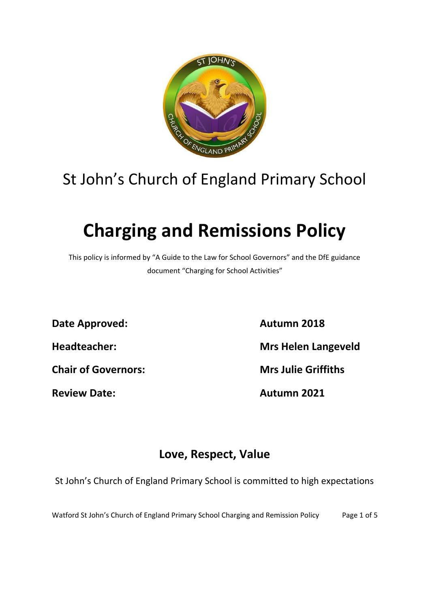

## St John's Church of England Primary School

# **Charging and Remissions Policy**

This policy is informed by "A Guide to the Law for School Governors" and the DfE guidance document "Charging for School Activities"

**Date Approved: Autumn 2018**

**Headteacher: Mrs Helen Langeveld**

**Chair of Governors: Mrs Julie Griffiths**

**Review Date: Autumn 2021**

### **Love, Respect, Value**

St John's Church of England Primary School is committed to high expectations

Watford St John's Church of England Primary School Charging and Remission Policy Page 1 of 5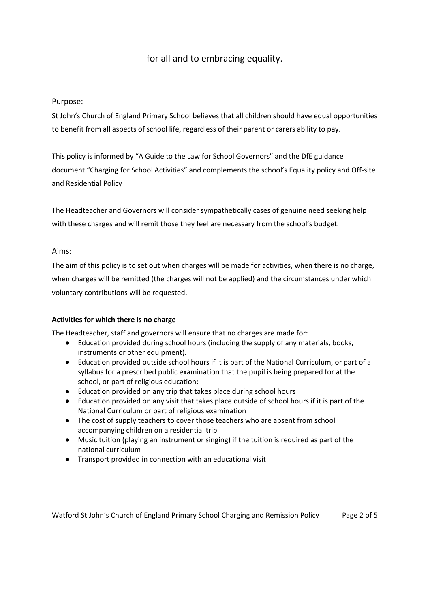#### for all and to embracing equality.

#### Purpose:

St John's Church of England Primary School believes that all children should have equal opportunities to benefit from all aspects of school life, regardless of their parent or carers ability to pay.

This policy is informed by "A Guide to the Law for School Governors" and the DfE guidance document "Charging for School Activities" and complements the school's Equality policy and Off-site and Residential Policy

The Headteacher and Governors will consider sympathetically cases of genuine need seeking help with these charges and will remit those they feel are necessary from the school's budget.

#### Aims:

The aim of this policy is to set out when charges will be made for activities, when there is no charge, when charges will be remitted (the charges will not be applied) and the circumstances under which voluntary contributions will be requested.

#### **Activities for which there is no charge**

The Headteacher, staff and governors will ensure that no charges are made for:

- Education provided during school hours (including the supply of any materials, books, instruments or other equipment).
- Education provided outside school hours if it is part of the National Curriculum, or part of a syllabus for a prescribed public examination that the pupil is being prepared for at the school, or part of religious education;
- Education provided on any trip that takes place during school hours
- Education provided on any visit that takes place outside of school hours if it is part of the National Curriculum or part of religious examination
- The cost of supply teachers to cover those teachers who are absent from school accompanying children on a residential trip
- Music tuition (playing an instrument or singing) if the tuition is required as part of the national curriculum
- Transport provided in connection with an educational visit

Watford St John's Church of England Primary School Charging and Remission Policy Page 2 of 5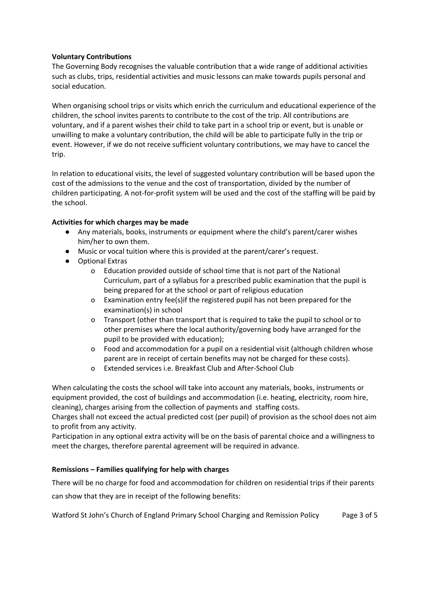#### **Voluntary Contributions**

The Governing Body recognises the valuable contribution that a wide range of additional activities such as clubs, trips, residential activities and music lessons can make towards pupils personal and social education.

When organising school trips or visits which enrich the curriculum and educational experience of the children, the school invites parents to contribute to the cost of the trip. All contributions are voluntary, and if a parent wishes their child to take part in a school trip or event, but is unable or unwilling to make a voluntary contribution, the child will be able to participate fully in the trip or event. However, if we do not receive sufficient voluntary contributions, we may have to cancel the trip.

In relation to educational visits, the level of suggested voluntary contribution will be based upon the cost of the admissions to the venue and the cost of transportation, divided by the number of children participating. A not-for-profit system will be used and the cost of the staffing will be paid by the school.

#### **Activities for which charges may be made**

- Any materials, books, instruments or equipment where the child's parent/carer wishes him/her to own them.
- Music or vocal tuition where this is provided at the parent/carer's request.
- Optional Extras
	- o Education provided outside of school time that is not part of the National Curriculum, part of a syllabus for a prescribed public examination that the pupil is being prepared for at the school or part of religious education
	- o Examination entry fee(s)if the registered pupil has not been prepared for the examination(s) in school
	- o Transport (other than transport that is required to take the pupil to school or to other premises where the local authority/governing body have arranged for the pupil to be provided with education);
	- o Food and accommodation for a pupil on a residential visit (although children whose parent are in receipt of certain benefits may not be charged for these costs).
	- o Extended services i.e. Breakfast Club and After-School Club

When calculating the costs the school will take into account any materials, books, instruments or equipment provided, the cost of buildings and accommodation (i.e. heating, electricity, room hire, cleaning), charges arising from the collection of payments and staffing costs.

Charges shall not exceed the actual predicted cost (per pupil) of provision as the school does not aim to profit from any activity.

Participation in any optional extra activity will be on the basis of parental choice and a willingness to meet the charges, therefore parental agreement will be required in advance.

#### **Remissions – Families qualifying for help with charges**

There will be no charge for food and accommodation for children on residential trips if their parents can show that they are in receipt of the following benefits:

Watford St John's Church of England Primary School Charging and Remission Policy Page 3 of 5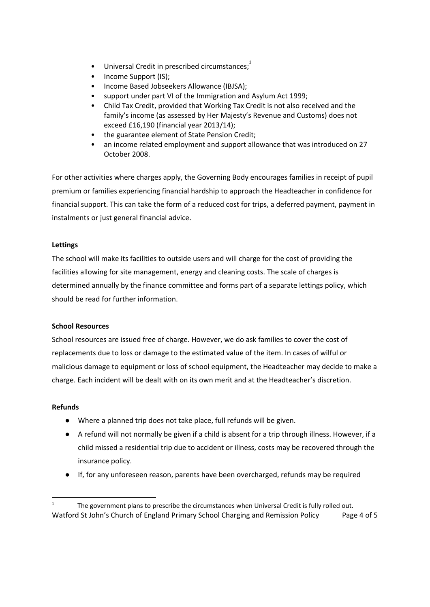- $\bullet$  Universal Credit in prescribed circumstances;
- Income Support (IS);
- Income Based Jobseekers Allowance (IBJSA);
- support under part VI of the Immigration and Asylum Act 1999;
- Child Tax Credit, provided that Working Tax Credit is not also received and the family's income (as assessed by Her Majesty's Revenue and Customs) does not exceed £16,190 (financial year 2013/14);
- the guarantee element of State Pension Credit;
- an income related employment and support allowance that was introduced on 27 October 2008.

For other activities where charges apply, the Governing Body encourages families in receipt of pupil premium or families experiencing financial hardship to approach the Headteacher in confidence for financial support. This can take the form of a reduced cost for trips, a deferred payment, payment in instalments or just general financial advice.

#### **Lettings**

The school will make its facilities to outside users and will charge for the cost of providing the facilities allowing for site management, energy and cleaning costs. The scale of charges is determined annually by the finance committee and forms part of a separate lettings policy, which should be read for further information.

#### **School Resources**

School resources are issued free of charge. However, we do ask families to cover the cost of replacements due to loss or damage to the estimated value of the item. In cases of wilful or malicious damage to equipment or loss of school equipment, the Headteacher may decide to make a charge. Each incident will be dealt with on its own merit and at the Headteacher's discretion.

#### **Refunds**

- Where a planned trip does not take place, full refunds will be given.
- A refund will not normally be given if a child is absent for a trip through illness. However, if a child missed a residential trip due to accident or illness, costs may be recovered through the insurance policy.
- If, for any unforeseen reason, parents have been overcharged, refunds may be required

The government plans to prescribe the circumstances when Universal Credit is fully rolled out. Watford St John's Church of England Primary School Charging and Remission Policy Page 4 of 5